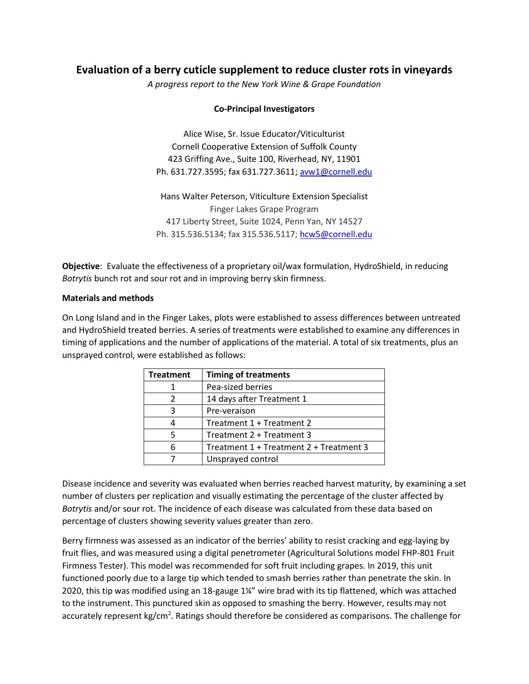# **Evaluation of a berry cuticle supplement to reduce cluster rots in vineyards**

*A progress report to the New York Wine & Grape Foundation*

## **Co-Principal Investigators**

Alice Wise, Sr. Issue Educator/Viticulturist Cornell Cooperative Extension of Suffolk County 423 Griffing Ave., Suite 100, Riverhead, NY, 11901 Ph. 631.727.3595; fax 631.727.3611; [avw1@cornell.edu](mailto:avw1@cornell.edu)

Hans Walter Peterson, Viticulture Extension Specialist Finger Lakes Grape Program 417 Liberty Street, Suite 1024, Penn Yan, NY 14527 Ph. 315.536.5134; fax 315.536.5117; [hcw5@cornell.edu](mailto:hcw5@cornell.edu)

**Objective**: Evaluate the effectiveness of a proprietary oil/wax formulation, HydroShield, in reducing *Botrytis* bunch rot and sour rot and in improving berry skin firmness.

#### **Materials and methods**

On Long Island and in the Finger Lakes, plots were established to assess differences between untreated and HydroShield treated berries. A series of treatments were established to examine any differences in timing of applications and the number of applications of the material. A total of six treatments, plus an unsprayed control, were established as follows:

| <b>Treatment</b> | <b>Timing of treatments</b>             |  |
|------------------|-----------------------------------------|--|
|                  | Pea-sized berries                       |  |
|                  | 14 days after Treatment 1               |  |
| 3                | Pre-veraison                            |  |
|                  | Treatment 1 + Treatment 2               |  |
|                  | Treatment 2 + Treatment 3               |  |
|                  | Treatment 1 + Treatment 2 + Treatment 3 |  |
|                  | Unsprayed control                       |  |

Disease incidence and severity was evaluated when berries reached harvest maturity, by examining a set number of clusters per replication and visually estimating the percentage of the cluster affected by *Botrytis* and/or sour rot. The incidence of each disease was calculated from these data based on percentage of clusters showing severity values greater than zero.

Berry firmness was assessed as an indicator of the berries' ability to resist cracking and egg-laying by fruit flies, and was measured using a digital penetrometer (Agricultural Solutions model FHP-801 Fruit Firmness Tester). This model was recommended for soft fruit including grapes. In 2019, this unit functioned poorly due to a large tip which tended to smash berries rather than penetrate the skin. In 2020, this tip was modified using an 18-gauge 1¼" wire brad with its tip flattened, which was attached to the instrument. This punctured skin as opposed to smashing the berry. However, results may not accurately represent kg/cm<sup>2</sup>. Ratings should therefore be considered as comparisons. The challenge for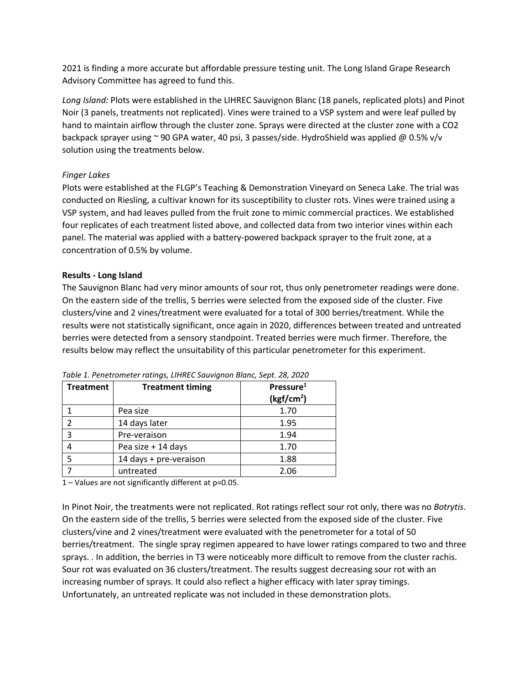2021 is finding a more accurate but affordable pressure testing unit. The Long Island Grape Research Advisory Committee has agreed to fund this.

*Long Island:* Plots were established in the LIHREC Sauvignon Blanc (18 panels, replicated plots) and Pinot Noir (3 panels, treatments not replicated). Vines were trained to a VSP system and were leaf pulled by hand to maintain airflow through the cluster zone. Sprays were directed at the cluster zone with a CO2 backpack sprayer using ~ 90 GPA water, 40 psi, 3 passes/side. HydroShield was applied @ 0.5% v/v solution using the treatments below.

# *Finger Lakes*

Plots were established at the FLGP's Teaching & Demonstration Vineyard on Seneca Lake. The trial was conducted on Riesling, a cultivar known for its susceptibility to cluster rots. Vines were trained using a VSP system, and had leaves pulled from the fruit zone to mimic commercial practices. We established four replicates of each treatment listed above, and collected data from two interior vines within each panel. The material was applied with a battery-powered backpack sprayer to the fruit zone, at a concentration of 0.5% by volume.

# **Results - Long Island**

The Sauvignon Blanc had very minor amounts of sour rot, thus only penetrometer readings were done. On the eastern side of the trellis, 5 berries were selected from the exposed side of the cluster. Five clusters/vine and 2 vines/treatment were evaluated for a total of 300 berries/treatment. While the results were not statistically significant, once again in 2020, differences between treated and untreated berries were detected from a sensory standpoint. Treated berries were much firmer. Therefore, the results below may reflect the unsuitability of this particular penetrometer for this experiment.

| <b>Treatment</b> | <b>Treatment timing</b> | Pressure <sup>1</sup><br>(kgf/cm <sup>2</sup> ) |
|------------------|-------------------------|-------------------------------------------------|
|                  | Pea size                | 1.70                                            |
|                  | 14 days later           | 1.95                                            |
| 3                | Pre-veraison            | 1.94                                            |
|                  | Pea size + 14 days      | 1.70                                            |
|                  | 14 days + pre-veraison  | 1.88                                            |
|                  | untreated               | 2.06                                            |

*Table 1. Penetrometer ratings, LIHREC Sauvignon Blanc, Sept. 28, 2020*

1 – Values are not significantly different at p=0.05.

In Pinot Noir, the treatments were not replicated. Rot ratings reflect sour rot only, there was no *Botrytis*. On the eastern side of the trellis, 5 berries were selected from the exposed side of the cluster. Five clusters/vine and 2 vines/treatment were evaluated with the penetrometer for a total of 50 berries/treatment. The single spray regimen appeared to have lower ratings compared to two and three sprays. . In addition, the berries in T3 were noticeably more difficult to remove from the cluster rachis. Sour rot was evaluated on 36 clusters/treatment. The results suggest decreasing sour rot with an increasing number of sprays. It could also reflect a higher efficacy with later spray timings. Unfortunately, an untreated replicate was not included in these demonstration plots.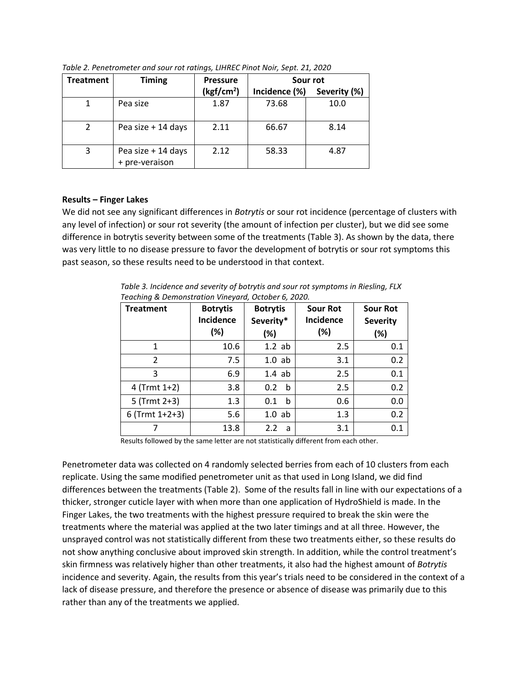| <b>Treatment</b> | <b>Timing</b>                        | <b>Pressure</b>        | Sour rot      |              |
|------------------|--------------------------------------|------------------------|---------------|--------------|
|                  |                                      | (kgf/cm <sup>2</sup> ) | Incidence (%) | Severity (%) |
|                  | Pea size                             | 1.87                   | 73.68         | 10.0         |
| $\mathfrak{p}$   | Pea size + 14 days                   | 2.11                   | 66.67         | 8.14         |
| 3                | Pea size + 14 days<br>+ pre-veraison | 2.12                   | 58.33         | 4.87         |

*Table 2. Penetrometer and sour rot ratings, LIHREC Pinot Noir, Sept. 21, 2020* 

### **Results – Finger Lakes**

We did not see any significant differences in *Botrytis* or sour rot incidence (percentage of clusters with any level of infection) or sour rot severity (the amount of infection per cluster), but we did see some difference in botrytis severity between some of the treatments (Table 3). As shown by the data, there was very little to no disease pressure to favor the development of botrytis or sour rot symptoms this past season, so these results need to be understood in that context.

*Table 3. Incidence and severity of botrytis and sour rot symptoms in Riesling, FLX Teaching & Demonstration Vineyard, October 6, 2020.*

| <b>Treatment</b> | <b>Botrytis</b><br><b>Incidence</b><br>(%) | <b>Botrytis</b><br>Severity*<br>(%) | <b>Sour Rot</b><br><b>Incidence</b><br>(%) | <b>Sour Rot</b><br><b>Severity</b><br>(%) |
|------------------|--------------------------------------------|-------------------------------------|--------------------------------------------|-------------------------------------------|
| $\mathbf 1$      | 10.6                                       | $1.2$ ab                            | 2.5                                        | 0.1                                       |
| $\mathcal{P}$    | 7.5                                        | $1.0$ ab                            | 3.1                                        | 0.2                                       |
| 3                | 6.9                                        | $1.4$ ab                            | 2.5                                        | 0.1                                       |
| $4$ (Trmt 1+2)   | 3.8                                        | 0.2<br>b                            | 2.5                                        | 0.2                                       |
| $5$ (Trmt 2+3)   | 1.3                                        | 0.1<br>b                            | 0.6                                        | 0.0                                       |
| $6$ (Trmt 1+2+3) | 5.6                                        | $1.0$ ab                            | 1.3                                        | 0.2                                       |
|                  | 13.8                                       | 2.2<br>a                            | 3.1                                        | 0.1                                       |

Results followed by the same letter are not statistically different from each other.

Penetrometer data was collected on 4 randomly selected berries from each of 10 clusters from each replicate. Using the same modified penetrometer unit as that used in Long Island, we did find differences between the treatments (Table 2). Some of the results fall in line with our expectations of a thicker, stronger cuticle layer with when more than one application of HydroShield is made. In the Finger Lakes, the two treatments with the highest pressure required to break the skin were the treatments where the material was applied at the two later timings and at all three. However, the unsprayed control was not statistically different from these two treatments either, so these results do not show anything conclusive about improved skin strength. In addition, while the control treatment's skin firmness was relatively higher than other treatments, it also had the highest amount of *Botrytis* incidence and severity. Again, the results from this year's trials need to be considered in the context of a lack of disease pressure, and therefore the presence or absence of disease was primarily due to this rather than any of the treatments we applied.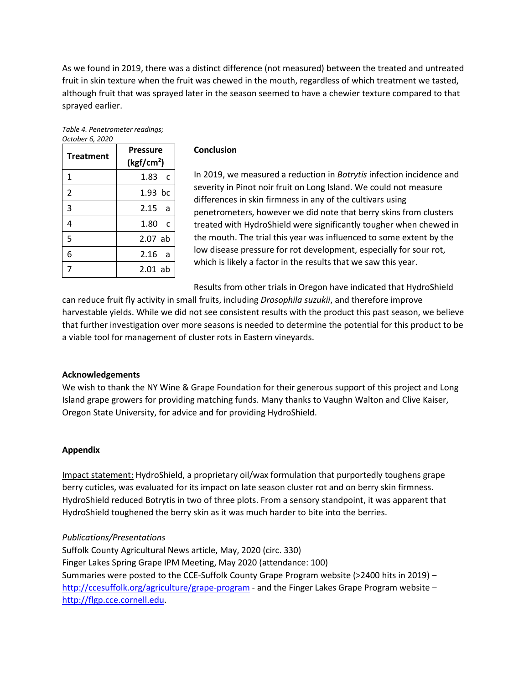As we found in 2019, there was a distinct difference (not measured) between the treated and untreated fruit in skin texture when the fruit was chewed in the mouth, regardless of which treatment we tasted, although fruit that was sprayed later in the season seemed to have a chewier texture compared to that sprayed earlier.

| Table 4. Penetrometer readings; |  |
|---------------------------------|--|
| October 6, 2020                 |  |

| <b>Treatment</b> | <b>Pressure</b><br>(kgf/cm <sup>2</sup> ) |
|------------------|-------------------------------------------|
| 1                | 1.83<br>$\mathsf{C}$                      |
| $\overline{2}$   | 1.93 bc                                   |
| 3                | 2.15<br>a                                 |
| 4                | 1.80<br>$\mathsf{C}$                      |
| 5                | $2.07$ ab                                 |
| 6                | 2.16<br>a                                 |
| 7                | $2.01$ ab                                 |

#### **Conclusion**

In 2019, we measured a reduction in *Botrytis* infection incidence and severity in Pinot noir fruit on Long Island. We could not measure differences in skin firmness in any of the cultivars using penetrometers, however we did note that berry skins from clusters treated with HydroShield were significantly tougher when chewed in the mouth. The trial this year was influenced to some extent by the low disease pressure for rot development, especially for sour rot, which is likely a factor in the results that we saw this year.

Results from other trials in Oregon have indicated that HydroShield

can reduce fruit fly activity in small fruits, including *Drosophila suzukii*, and therefore improve harvestable yields. While we did not see consistent results with the product this past season, we believe that further investigation over more seasons is needed to determine the potential for this product to be a viable tool for management of cluster rots in Eastern vineyards.

### **Acknowledgements**

We wish to thank the NY Wine & Grape Foundation for their generous support of this project and Long Island grape growers for providing matching funds. Many thanks to Vaughn Walton and Clive Kaiser, Oregon State University, for advice and for providing HydroShield.

### **Appendix**

Impact statement: HydroShield, a proprietary oil/wax formulation that purportedly toughens grape berry cuticles, was evaluated for its impact on late season cluster rot and on berry skin firmness. HydroShield reduced Botrytis in two of three plots. From a sensory standpoint, it was apparent that HydroShield toughened the berry skin as it was much harder to bite into the berries.

### *Publications/Presentations*

Suffolk County Agricultural News article, May, 2020 (circ. 330) Finger Lakes Spring Grape IPM Meeting, May 2020 (attendance: 100) Summaries were posted to the CCE-Suffolk County Grape Program website (>2400 hits in 2019) – <http://ccesuffolk.org/agriculture/grape-program> - and the Finger Lakes Grape Program website – [http://flgp.cce.cornell.edu.](http://flgp.cce.cornell.edu/)